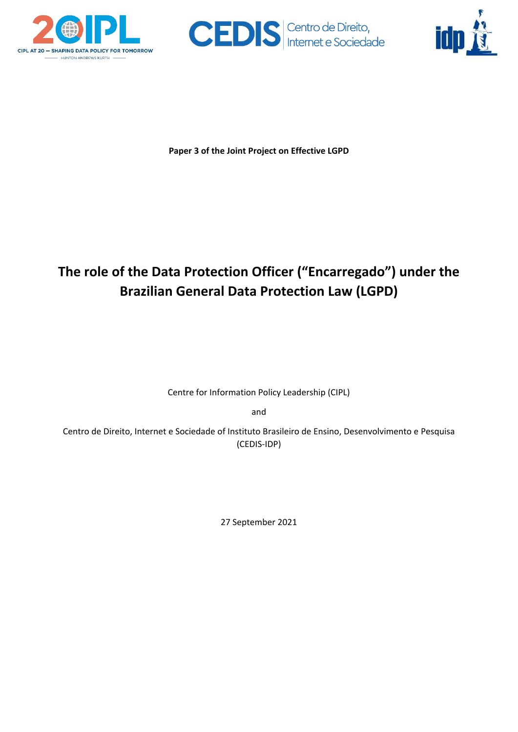





**Paper 3 of the Joint Project on Effective LGPD**

# **The role of the Data Protection Officer ("Encarregado") under the Brazilian General Data Protection Law (LGPD)**

Centre for Information Policy Leadership (CIPL)

and

Centro de Direito, Internet e Sociedade of Instituto Brasileiro de Ensino, Desenvolvimento e Pesquisa (CEDIS-IDP)

27 September 2021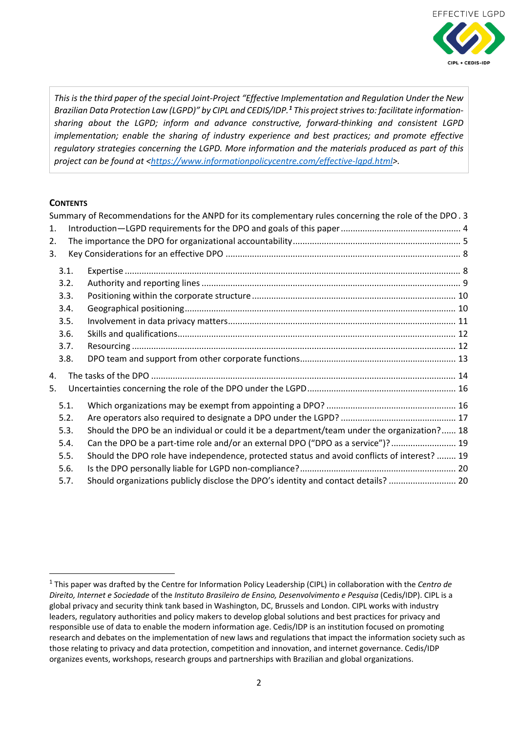

*This is the third paper of the special Joint-Project "Effective Implementation and Regulation Under the New Brazilian Data Protection Law (LGPD)" by CIPL and CEDIS/IDP.[1](#page-1-0) This project strives to: facilitate informationsharing about the LGPD; inform and advance constructive, forward-thinking and consistent LGPD implementation; enable the sharing of industry experience and best practices; and promote effective regulatory strategies concerning the LGPD. More information and the materials produced as part of this project can be found at [<https://www.informationpolicycentre.com/effective-lgpd.html>](https://www.informationpolicycentre.com/effective-lgpd.html).*

## **CONTENTS**

|      |      | Summary of Recommendations for the ANPD for its complementary rules concerning the role of the DPO. 3 |  |
|------|------|-------------------------------------------------------------------------------------------------------|--|
| 1.   |      |                                                                                                       |  |
| 2.   |      |                                                                                                       |  |
| 3.   |      |                                                                                                       |  |
|      | 3.1. |                                                                                                       |  |
|      | 3.2. |                                                                                                       |  |
| 3.3. |      |                                                                                                       |  |
|      | 3.4. |                                                                                                       |  |
|      | 3.5. |                                                                                                       |  |
|      | 3.6. |                                                                                                       |  |
|      | 3.7. |                                                                                                       |  |
|      | 3.8. |                                                                                                       |  |
| 4.   |      |                                                                                                       |  |
| 5.   |      |                                                                                                       |  |
|      | 5.1. |                                                                                                       |  |
|      | 5.2. |                                                                                                       |  |
|      | 5.3. | Should the DPO be an individual or could it be a department/team under the organization? 18           |  |
|      | 5.4. | Can the DPO be a part-time role and/or an external DPO ("DPO as a service")?  19                      |  |
|      | 5.5. | Should the DPO role have independence, protected status and avoid conflicts of interest?  19          |  |
|      | 5.6. |                                                                                                       |  |
|      | 5.7. | Should organizations publicly disclose the DPO's identity and contact details?  20                    |  |

<span id="page-1-0"></span> <sup>1</sup> This paper was drafted by the Centre for Information Policy Leadership (CIPL) in collaboration with the *Centro de Direito, Internet e Sociedade* of the *Instituto Brasileiro de Ensino, Desenvolvimento e Pesquisa* (Cedis/IDP). CIPL is a global privacy and security think tank based in Washington, DC, Brussels and London. CIPL works with industry leaders, regulatory authorities and policy makers to develop global solutions and best practices for privacy and responsible use of data to enable the modern information age. Cedis/IDP is an institution focused on promoting research and debates on the implementation of new laws and regulations that impact the information society such as those relating to privacy and data protection, competition and innovation, and internet governance. Cedis/IDP organizes events, workshops, research groups and partnerships with Brazilian and global organizations.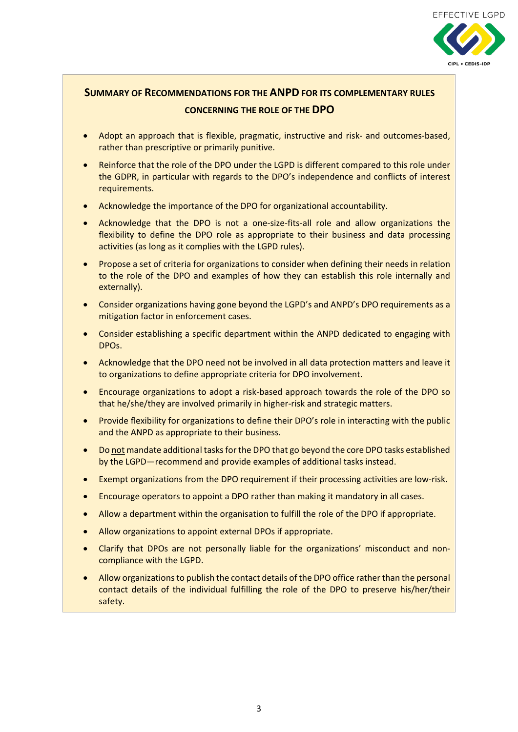

## <span id="page-2-0"></span>**SUMMARY OF RECOMMENDATIONS FOR THE ANPD FOR ITS COMPLEMENTARY RULES CONCERNING THE ROLE OF THE DPO**

- Adopt an approach that is flexible, pragmatic, instructive and risk- and outcomes-based, rather than prescriptive or primarily punitive.
- Reinforce that the role of the DPO under the LGPD is different compared to this role under the GDPR, in particular with regards to the DPO's independence and conflicts of interest requirements.
- Acknowledge the importance of the DPO for organizational accountability.
- Acknowledge that the DPO is not a one-size-fits-all role and allow organizations the flexibility to define the DPO role as appropriate to their business and data processing activities (as long as it complies with the LGPD rules).
- Propose a set of criteria for organizations to consider when defining their needs in relation to the role of the DPO and examples of how they can establish this role internally and externally).
- Consider organizations having gone beyond the LGPD's and ANPD's DPO requirements as a mitigation factor in enforcement cases.
- Consider establishing a specific department within the ANPD dedicated to engaging with DPOs.
- Acknowledge that the DPO need not be involved in all data protection matters and leave it to organizations to define appropriate criteria for DPO involvement.
- Encourage organizations to adopt a risk-based approach towards the role of the DPO so that he/she/they are involved primarily in higher-risk and strategic matters.
- Provide flexibility for organizations to define their DPO's role in interacting with the public and the ANPD as appropriate to their business.
- Do not mandate additional tasks for the DPO that go beyond the core DPO tasks established by the LGPD—recommend and provide examples of additional tasks instead.
- Exempt organizations from the DPO requirement if their processing activities are low-risk.
- Encourage operators to appoint a DPO rather than making it mandatory in all cases.
- Allow a department within the organisation to fulfill the role of the DPO if appropriate.
- Allow organizations to appoint external DPOs if appropriate.
- Clarify that DPOs are not personally liable for the organizations' misconduct and noncompliance with the LGPD.
- Allow organizations to publish the contact details of the DPO office rather than the personal contact details of the individual fulfilling the role of the DPO to preserve his/her/their safety.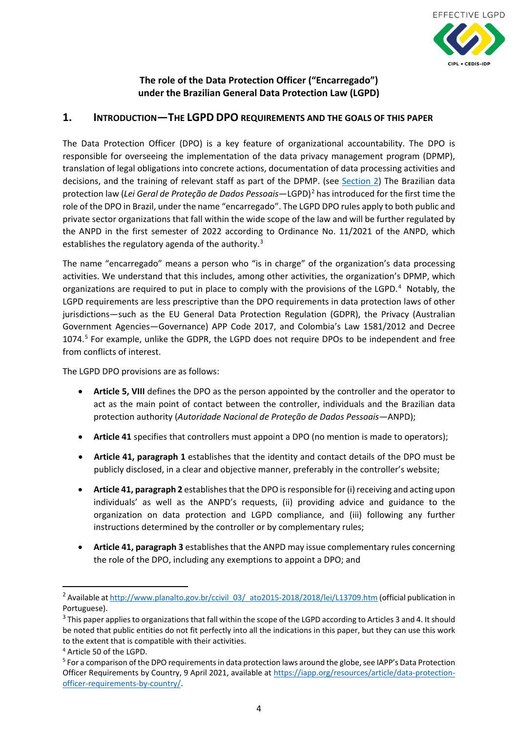

## **The role of the Data Protection Officer ("Encarregado") under the Brazilian General Data Protection Law (LGPD)**

## <span id="page-3-0"></span>**1. INTRODUCTION—THE LGPD DPO REQUIREMENTS AND THE GOALS OF THIS PAPER**

The Data Protection Officer (DPO) is a key feature of organizational accountability. The DPO is responsible for overseeing the implementation of the data privacy management program (DPMP), translation of legal obligations into concrete actions, documentation of data processing activities and decisions, and the training of relevant staff as part of the DPMP. (see [Section 2\)](#page-4-0) The Brazilian data protection law (*Lei Geral de Proteção de Dados Pessoais*—LGPD)[2](#page-3-1) has introduced for the first time the role of the DPO in Brazil, under the name "encarregado". The LGPD DPO rules apply to both public and private sector organizations that fall within the wide scope of the law and will be further regulated by the ANPD in the first semester of 2022 according to Ordinance No. 11/2021 of the ANPD, which establishes the regulatory agenda of the authority.<sup>[3](#page-3-2)</sup>

The name "encarregado" means a person who "is in charge" of the organization's data processing activities. We understand that this includes, among other activities, the organization's DPMP, which organizations are required to put in place to comply with the provisions of the LGPD.<sup>[4](#page-3-3)</sup> Notably, the LGPD requirements are less prescriptive than the DPO requirements in data protection laws of other jurisdictions—such as the EU General Data Protection Regulation (GDPR), the Privacy (Australian Government Agencies—Governance) APP Code 2017, and Colombia's Law 1581/2012 and Decree 1074. [5](#page-3-4) For example, unlike the GDPR, the LGPD does not require DPOs to be independent and free from conflicts of interest.

The LGPD DPO provisions are as follows:

- **Article 5, VIII** defines the DPO as the person appointed by the controller and the operator to act as the main point of contact between the controller, individuals and the Brazilian data protection authority (*Autoridade Nacional de Proteção de Dados Pessoais*—ANPD);
- **Article 41** specifies that controllers must appoint a DPO (no mention is made to operators);
- **Article 41, paragraph 1** establishes that the identity and contact details of the DPO must be publicly disclosed, in a clear and objective manner, preferably in the controller's website;
- **Article 41, paragraph 2** establishes that the DPO is responsible for (i) receiving and acting upon individuals' as well as the ANPD's requests, (ii) providing advice and guidance to the organization on data protection and LGPD compliance, and (iii) following any further instructions determined by the controller or by complementary rules;
- **Article 41, paragraph 3** establishes that the ANPD may issue complementary rules concerning the role of the DPO, including any exemptions to appoint a DPO; and

<span id="page-3-1"></span><sup>&</sup>lt;sup>2</sup> Available a[t http://www.planalto.gov.br/ccivil\\_03/\\_ato2015-2018/2018/lei/L13709.htm](http://www.planalto.gov.br/ccivil_03/_ato2015-2018/2018/lei/L13709.htm) (official publication in Portuguese).

<span id="page-3-2"></span><sup>&</sup>lt;sup>3</sup> This paper applies to organizations that fall within the scope of the LGPD according to Articles 3 and 4. It should be noted that public entities do not fit perfectly into all the indications in this paper, but they can use this work to the extent that is compatible with their activities.

<span id="page-3-3"></span><sup>4</sup> Article 50 of the LGPD.

<span id="page-3-4"></span><sup>5</sup> For a comparison of the DPO requirements in data protection laws around the globe, see IAPP's Data Protection Officer Requirements by Country, 9 April 2021, available a[t https://iapp.org/resources/article/data-protection](https://iapp.org/resources/article/data-protection-officer-requirements-by-country/)[officer-requirements-by-country/.](https://iapp.org/resources/article/data-protection-officer-requirements-by-country/)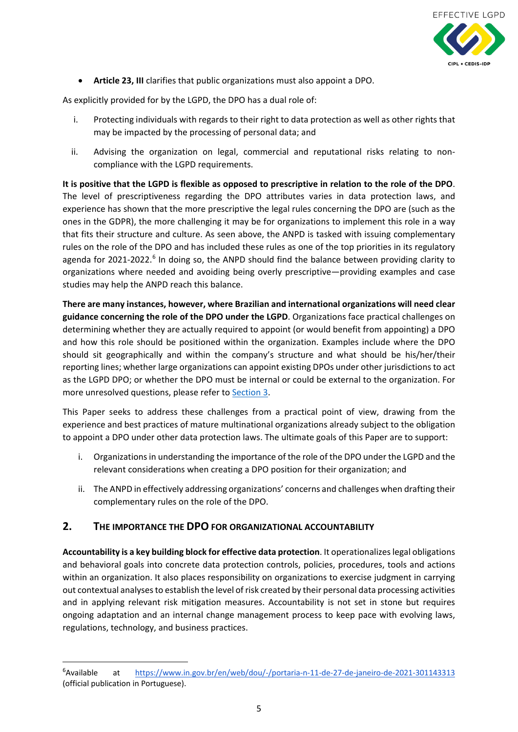

• **Article 23, III** clarifies that public organizations must also appoint a DPO.

As explicitly provided for by the LGPD, the DPO has a dual role of:

- i. Protecting individuals with regards to their right to data protection as well as other rights that may be impacted by the processing of personal data; and
- ii. Advising the organization on legal, commercial and reputational risks relating to noncompliance with the LGPD requirements.

**It is positive that the LGPD is flexible as opposed to prescriptive in relation to the role of the DPO**. The level of prescriptiveness regarding the DPO attributes varies in data protection laws, and experience has shown that the more prescriptive the legal rules concerning the DPO are (such as the ones in the GDPR), the more challenging it may be for organizations to implement this role in a way that fits their structure and culture. As seen above, the ANPD is tasked with issuing complementary rules on the role of the DPO and has included these rules as one of the top priorities in its regulatory agenda for 2021-2022.<sup>[6](#page-4-1)</sup> In doing so, the ANPD should find the balance between providing clarity to organizations where needed and avoiding being overly prescriptive—providing examples and case studies may help the ANPD reach this balance.

**There are many instances, however, where Brazilian and international organizations will need clear guidance concerning the role of the DPO under the LGPD**. Organizations face practical challenges on determining whether they are actually required to appoint (or would benefit from appointing) a DPO and how this role should be positioned within the organization. Examples include where the DPO should sit geographically and within the company's structure and what should be his/her/their reporting lines; whether large organizations can appoint existing DPOs under other jurisdictions to act as the LGPD DPO; or whether the DPO must be internal or could be external to the organization. For more unresolved questions, please refer to [Section 3.](#page-7-0)

This Paper seeks to address these challenges from a practical point of view, drawing from the experience and best practices of mature multinational organizations already subject to the obligation to appoint a DPO under other data protection laws. The ultimate goals of this Paper are to support:

- i. Organizations in understanding the importance of the role of the DPO under the LGPD and the relevant considerations when creating a DPO position for their organization; and
- ii. The ANPD in effectively addressing organizations' concerns and challenges when drafting their complementary rules on the role of the DPO.

## <span id="page-4-0"></span>**2. THE IMPORTANCE THE DPO FOR ORGANIZATIONAL ACCOUNTABILITY**

**Accountability is a key building block for effective data protection**. It operationalizes legal obligations and behavioral goals into concrete data protection controls, policies, procedures, tools and actions within an organization. It also places responsibility on organizations to exercise judgment in carrying out contextual analyses to establish the level of risk created by their personal data processing activities and in applying relevant risk mitigation measures. Accountability is not set in stone but requires ongoing adaptation and an internal change management process to keep pace with evolving laws, regulations, technology, and business practices.

<span id="page-4-1"></span><sup>—&</sup>lt;br>6 <sup>6</sup> Available at <https://www.in.gov.br/en/web/dou/-/portaria-n-11-de-27-de-janeiro-de-2021-301143313> (official publication in Portuguese).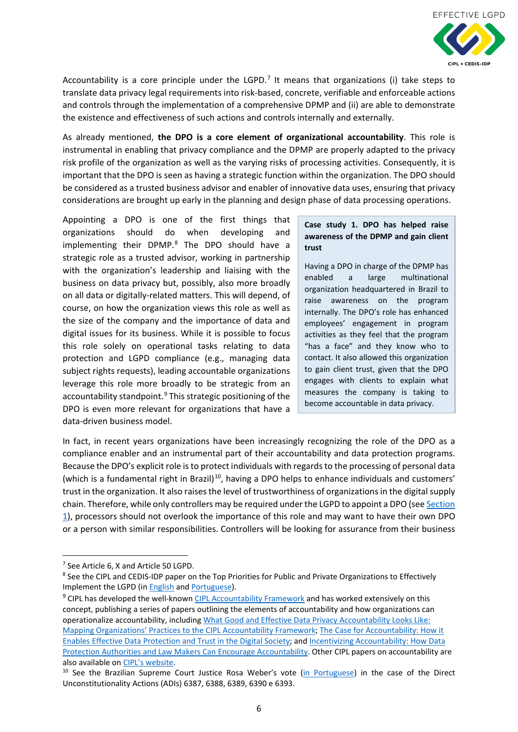

Accountability is a core principle under the LGPD.<sup>[7](#page-5-0)</sup> It means that organizations (i) take steps to translate data privacy legal requirements into risk-based, concrete, verifiable and enforceable actions and controls through the implementation of a comprehensive DPMP and (ii) are able to demonstrate the existence and effectiveness of such actions and controls internally and externally.

As already mentioned, **the DPO is a core element of organizational accountability**. This role is instrumental in enabling that privacy compliance and the DPMP are properly adapted to the privacy risk profile of the organization as well as the varying risks of processing activities. Consequently, it is important that the DPO is seen as having a strategic function within the organization. The DPO should be considered as a trusted business advisor and enabler of innovative data uses, ensuring that privacy considerations are brought up early in the planning and design phase of data processing operations.

Appointing a DPO is one of the first things that organizations should do when developing and implementing their DPMP. [8](#page-5-1) The DPO should have a strategic role as a trusted advisor, working in partnership with the organization's leadership and liaising with the business on data privacy but, possibly, also more broadly on all data or digitally-related matters. This will depend, of course, on how the organization views this role as well as the size of the company and the importance of data and digital issues for its business. While it is possible to focus this role solely on operational tasks relating to data protection and LGPD compliance (e.g., managing data subject rights requests), leading accountable organizations leverage this role more broadly to be strategic from an accountability standpoint.<sup>[9](#page-5-2)</sup> This strategic positioning of the DPO is even more relevant for organizations that have a data-driven business model.

#### **Case study 1. DPO has helped raise awareness of the DPMP and gain client trust**

Having a DPO in charge of the DPMP has enabled a large multinational organization headquartered in Brazil to raise awareness on the program internally. The DPO's role has enhanced employees' engagement in program activities as they feel that the program "has a face" and they know who to contact. It also allowed this organization to gain client trust, given that the DPO engages with clients to explain what measures the company is taking to become accountable in data privacy.

In fact, in recent years organizations have been increasingly recognizing the role of the DPO as a compliance enabler and an instrumental part of their accountability and data protection programs. Because the DPO's explicit role is to protect individuals with regards to the processing of personal data (which is a fundamental right in Brazil)<sup>10</sup>, having a DPO helps to enhance individuals and customers' trust in the organization. It also raises the level of trustworthiness of organizations in the digital supply chain. Therefore, while only controllers may be required under the LGPD to appoint a DPO (see Section [1\)](#page-3-0), processors should not overlook the importance of this role and may want to have their own DPO or a person with similar responsibilities. Controllers will be looking for assurance from their business

<span id="page-5-0"></span><sup>&</sup>lt;sup>7</sup> See Article 6, X and Article 50 LGPD.

<span id="page-5-1"></span><sup>8</sup> See the CIPL and CEDIS-IDP paper on the Top Priorities for Public and Private Organizations to Effectively Implement the LGPD (i[n English](https://www.informationpolicycentre.com/uploads/5/7/1/0/57104281/cipl-idp_white_paper_on_top_priorities_for_public_and_private_organizations_to_effectively_implement_the_lgpd__1_september_2020_.pdf) and [Portuguese\)](https://www.informationpolicycentre.com/uploads/5/7/1/0/57104281/%5bpt%5d_cipl-idp_white_paper_on_top_priorities_for_organizations_to__effectively_implement_the_lgpd_7_october_2020_.pdf).

<span id="page-5-2"></span> $9$  CIPL has developed the well-known [CIPL Accountability Framework](https://www.informationpolicycentre.com/uploads/5/7/1/0/57104281/cipl_accountability_framework__27_may_2020_.png) and has worked extensively on this concept, publishing a series of papers outlining the elements of accountability and how organizations can operationalize accountability, includin[g What Good and Effective Data Privacy Accountability Looks Like:](https://www.informationpolicycentre.com/organizational-accountability.html)  [Mapping Organizations' Practices to the CIPL Accountability Framework;](https://www.informationpolicycentre.com/organizational-accountability.html) [The Case for Accountability: How it](https://www.informationpolicycentre.com/uploads/5/7/1/0/57104281/cipl_accountability_paper_1_-_the_case_for_accountability_-_how_it_enables_effective_data_protection_and_trust_in_the_digital_society.pdf)  [Enables Effective Data Protection and Trust in the Digital Society;](https://www.informationpolicycentre.com/uploads/5/7/1/0/57104281/cipl_accountability_paper_1_-_the_case_for_accountability_-_how_it_enables_effective_data_protection_and_trust_in_the_digital_society.pdf) and [Incentivizing Accountability: How Data](https://www.informationpolicycentre.com/uploads/5/7/1/0/57104281/cipl_accountability_paper_2_-_incentivising_accountability_-_how_data_protection_authorities_and_law_makers_can_encourage_accountability.pdf)  [Protection Authorities and Law Makers Can Encourage Accountability.](https://www.informationpolicycentre.com/uploads/5/7/1/0/57104281/cipl_accountability_paper_2_-_incentivising_accountability_-_how_data_protection_authorities_and_law_makers_can_encourage_accountability.pdf) Other CIPL papers on accountability are also available o[n CIPL's website.](https://www.informationpolicycentre.com/cipl-white-papers.html)

<span id="page-5-3"></span><sup>&</sup>lt;sup>10</sup> See the Brazilian Supreme Court Justice Rosa Weber's vote [\(in Portuguese\)](https://redir.stf.jus.br/paginadorpub/paginador.jsp?docTP=TP&docID=754357629) in the case of the Direct Unconstitutionality Actions (ADIs) 6387, 6388, 6389, 6390 e 6393.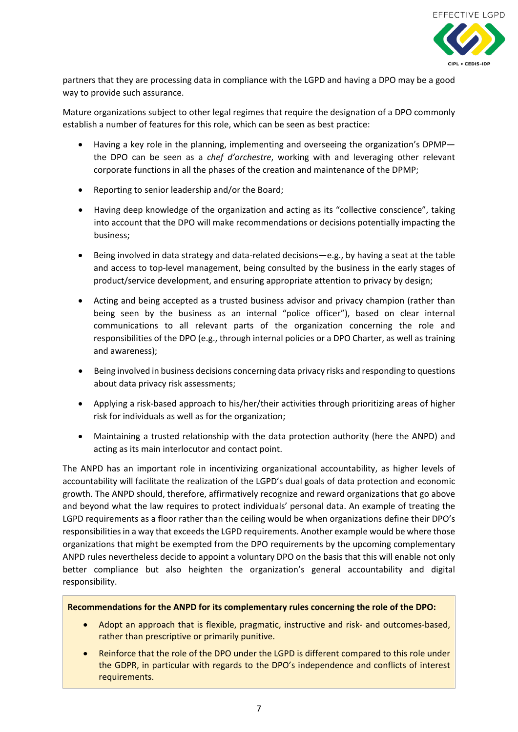

partners that they are processing data in compliance with the LGPD and having a DPO may be a good way to provide such assurance.

Mature organizations subject to other legal regimes that require the designation of a DPO commonly establish a number of features for this role, which can be seen as best practice:

- Having a key role in the planning, implementing and overseeing the organization's DPMP the DPO can be seen as a *chef d'orchestre*, working with and leveraging other relevant corporate functions in all the phases of the creation and maintenance of the DPMP;
- Reporting to senior leadership and/or the Board;
- Having deep knowledge of the organization and acting as its "collective conscience", taking into account that the DPO will make recommendations or decisions potentially impacting the business;
- Being involved in data strategy and data-related decisions—e.g., by having a seat at the table and access to top-level management, being consulted by the business in the early stages of product/service development, and ensuring appropriate attention to privacy by design;
- Acting and being accepted as a trusted business advisor and privacy champion (rather than being seen by the business as an internal "police officer"), based on clear internal communications to all relevant parts of the organization concerning the role and responsibilities of the DPO (e.g., through internal policies or a DPO Charter, as well as training and awareness);
- Being involved in business decisions concerning data privacy risks and responding to questions about data privacy risk assessments;
- Applying a risk-based approach to his/her/their activities through prioritizing areas of higher risk for individuals as well as for the organization;
- Maintaining a trusted relationship with the data protection authority (here the ANPD) and acting as its main interlocutor and contact point.

The ANPD has an important role in incentivizing organizational accountability, as higher levels of accountability will facilitate the realization of the LGPD's dual goals of data protection and economic growth. The ANPD should, therefore, affirmatively recognize and reward organizations that go above and beyond what the law requires to protect individuals' personal data. An example of treating the LGPD requirements as a floor rather than the ceiling would be when organizations define their DPO's responsibilities in a way that exceeds the LGPD requirements. Another example would be where those organizations that might be exempted from the DPO requirements by the upcoming complementary ANPD rules nevertheless decide to appoint a voluntary DPO on the basis that this will enable not only better compliance but also heighten the organization's general accountability and digital responsibility.

**Recommendations for the ANPD for its complementary rules concerning the role of the DPO:** 

- Adopt an approach that is flexible, pragmatic, instructive and risk- and outcomes-based, rather than prescriptive or primarily punitive.
- Reinforce that the role of the DPO under the LGPD is different compared to this role under the GDPR, in particular with regards to the DPO's independence and conflicts of interest requirements.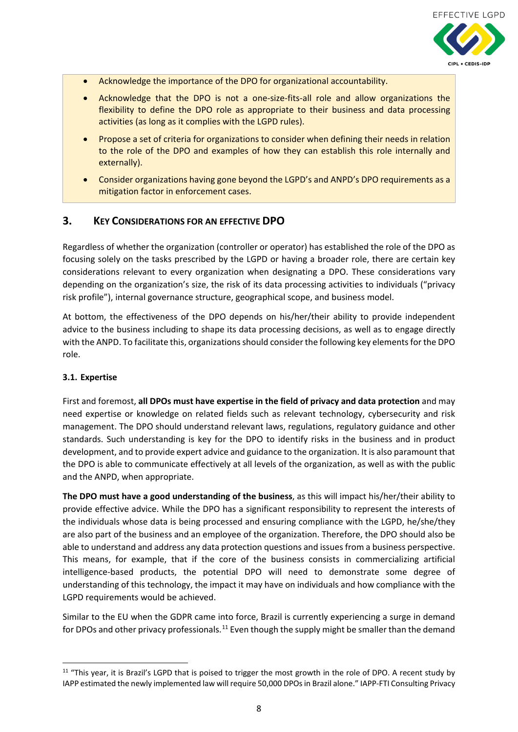

- Acknowledge the importance of the DPO for organizational accountability.
- Acknowledge that the DPO is not a one-size-fits-all role and allow organizations the flexibility to define the DPO role as appropriate to their business and data processing activities (as long as it complies with the LGPD rules).
- Propose a set of criteria for organizations to consider when defining their needs in relation to the role of the DPO and examples of how they can establish this role internally and externally).
- Consider organizations having gone beyond the LGPD's and ANPD's DPO requirements as a mitigation factor in enforcement cases.

## <span id="page-7-0"></span>**3. KEY CONSIDERATIONS FOR AN EFFECTIVE DPO**

Regardless of whether the organization (controller or operator) has established the role of the DPO as focusing solely on the tasks prescribed by the LGPD or having a broader role, there are certain key considerations relevant to every organization when designating a DPO. These considerations vary depending on the organization's size, the risk of its data processing activities to individuals ("privacy risk profile"), internal governance structure, geographical scope, and business model.

At bottom, the effectiveness of the DPO depends on his/her/their ability to provide independent advice to the business including to shape its data processing decisions, as well as to engage directly with the ANPD. To facilitate this, organizations should consider the following key elements for the DPO role.

#### <span id="page-7-1"></span>**3.1. Expertise**

First and foremost, **all DPOs must have expertise in the field of privacy and data protection** and may need expertise or knowledge on related fields such as relevant technology, cybersecurity and risk management. The DPO should understand relevant laws, regulations, regulatory guidance and other standards. Such understanding is key for the DPO to identify risks in the business and in product development, and to provide expert advice and guidance to the organization. It is also paramount that the DPO is able to communicate effectively at all levels of the organization, as well as with the public and the ANPD, when appropriate.

**The DPO must have a good understanding of the business**, as this will impact his/her/their ability to provide effective advice. While the DPO has a significant responsibility to represent the interests of the individuals whose data is being processed and ensuring compliance with the LGPD, he/she/they are also part of the business and an employee of the organization. Therefore, the DPO should also be able to understand and address any data protection questions and issues from a business perspective. This means, for example, that if the core of the business consists in commercializing artificial intelligence-based products, the potential DPO will need to demonstrate some degree of understanding of this technology, the impact it may have on individuals and how compliance with the LGPD requirements would be achieved.

Similar to the EU when the GDPR came into force, Brazil is currently experiencing a surge in demand for DPOs and other privacy professionals.<sup>[11](#page-7-2)</sup> Even though the supply might be smaller than the demand

<span id="page-7-2"></span><sup>&</sup>lt;sup>11</sup> "This year, it is Brazil's LGPD that is poised to trigger the most growth in the role of DPO. A recent study by IAPP estimated the newly implemented law will require 50,000 DPOs in Brazil alone." IAPP-FTI Consulting Privacy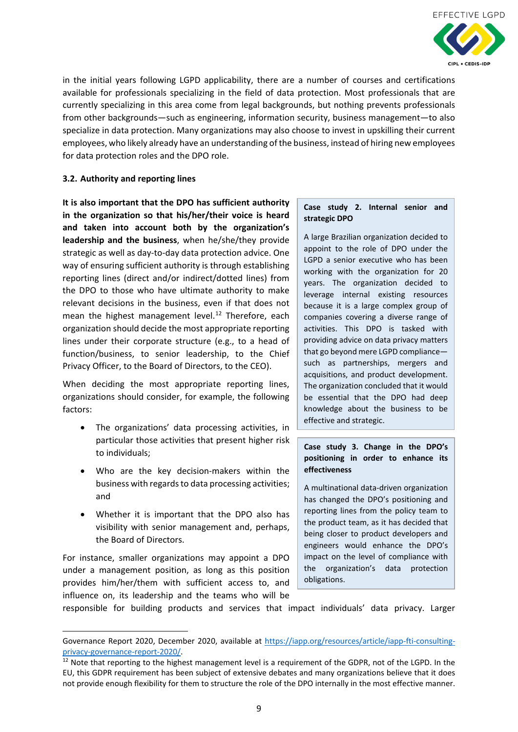

in the initial years following LGPD applicability, there are a number of courses and certifications available for professionals specializing in the field of data protection. Most professionals that are currently specializing in this area come from legal backgrounds, but nothing prevents professionals from other backgrounds—such as engineering, information security, business management—to also specialize in data protection. Many organizations may also choose to invest in upskilling their current employees, who likely already have an understanding of the business, instead of hiring new employees for data protection roles and the DPO role.

#### <span id="page-8-0"></span>**3.2. Authority and reporting lines**

**It is also important that the DPO has sufficient authority in the organization so that his/her/their voice is heard and taken into account both by the organization's leadership and the business**, when he/she/they provide strategic as well as day-to-day data protection advice. One way of ensuring sufficient authority is through establishing reporting lines (direct and/or indirect/dotted lines) from the DPO to those who have ultimate authority to make relevant decisions in the business, even if that does not mean the highest management level. $^{12}$  $^{12}$  $^{12}$  Therefore, each organization should decide the most appropriate reporting lines under their corporate structure (e.g., to a head of function/business, to senior leadership, to the Chief Privacy Officer, to the Board of Directors, to the CEO).

When deciding the most appropriate reporting lines, organizations should consider, for example, the following factors:

- The organizations' data processing activities, in particular those activities that present higher risk to individuals;
- Who are the key decision-makers within the business with regards to data processing activities; and
- Whether it is important that the DPO also has visibility with senior management and, perhaps, the Board of Directors.

For instance, smaller organizations may appoint a DPO under a management position, as long as this position provides him/her/them with sufficient access to, and influence on, its leadership and the teams who will be

**.** 

#### **Case study 2. Internal senior and strategic DPO**

A large Brazilian organization decided to appoint to the role of DPO under the LGPD a senior executive who has been working with the organization for 20 years. The organization decided to leverage internal existing resources because it is a large complex group of companies covering a diverse range of activities. This DPO is tasked with providing advice on data privacy matters that go beyond mere LGPD compliance such as partnerships, mergers and acquisitions, and product development. The organization concluded that it would be essential that the DPO had deep knowledge about the business to be effective and strategic.

#### **Case study 3. Change in the DPO's positioning in order to enhance its effectiveness**

A multinational data-driven organization has changed the DPO's positioning and reporting lines from the policy team to the product team, as it has decided that being closer to product developers and engineers would enhance the DPO's impact on the level of compliance with the organization's data protection obligations.

responsible for building products and services that impact individuals' data privacy. Larger

Governance Report 2020, December 2020, available at [https://iapp.org/resources/article/iapp-fti-consulting](https://iapp.org/resources/article/iapp-fti-consulting-privacy-governance-report-2020/)[privacy-governance-report-2020/.](https://iapp.org/resources/article/iapp-fti-consulting-privacy-governance-report-2020/)

<span id="page-8-1"></span><sup>&</sup>lt;sup>12</sup> Note that reporting to the highest management level is a requirement of the GDPR, not of the LGPD. In the EU, this GDPR requirement has been subject of extensive debates and many organizations believe that it does not provide enough flexibility for them to structure the role of the DPO internally in the most effective manner.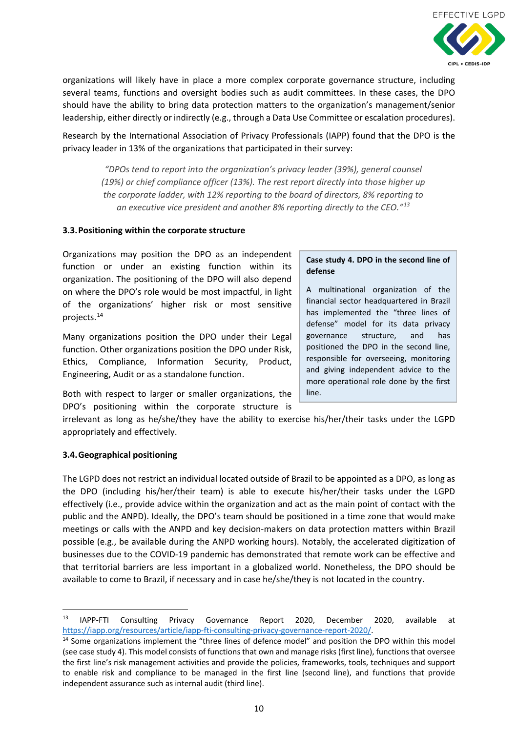

organizations will likely have in place a more complex corporate governance structure, including several teams, functions and oversight bodies such as audit committees. In these cases, the DPO should have the ability to bring data protection matters to the organization's management/senior leadership, either directly or indirectly (e.g., through a Data Use Committee or escalation procedures).

Research by the International Association of Privacy Professionals (IAPP) found that the DPO is the privacy leader in 13% of the organizations that participated in their survey:

*"DPOs tend to report into the organization's privacy leader (39%), general counsel (19%) or chief compliance officer (13%). The rest report directly into those higher up the corporate ladder, with 12% reporting to the board of directors, 8% reporting to an executive vice president and another 8% reporting directly to the CEO."[13](#page-9-2)*

#### <span id="page-9-0"></span>**3.3.Positioning within the corporate structure**

Organizations may position the DPO as an independent function or under an existing function within its organization. The positioning of the DPO will also depend on where the DPO's role would be most impactful, in light of the organizations' higher risk or most sensitive projects. [14](#page-9-3)

Many organizations position the DPO under their Legal function. Other organizations position the DPO under Risk, Ethics, Compliance, Information Security, Product, Engineering, Audit or as a standalone function.

Both with respect to larger or smaller organizations, the DPO's positioning within the corporate structure is

#### **Case study 4. DPO in the second line of defense**

A multinational organization of the financial sector headquartered in Brazil has implemented the "three lines of defense" model for its data privacy governance structure, and has positioned the DPO in the second line, responsible for overseeing, monitoring and giving independent advice to the more operational role done by the first line.

irrelevant as long as he/she/they have the ability to exercise his/her/their tasks under the LGPD appropriately and effectively.

#### <span id="page-9-1"></span>**3.4.Geographical positioning**

The LGPD does not restrict an individual located outside of Brazil to be appointed as a DPO, as long as the DPO (including his/her/their team) is able to execute his/her/their tasks under the LGPD effectively (i.e., provide advice within the organization and act as the main point of contact with the public and the ANPD). Ideally, the DPO's team should be positioned in a time zone that would make meetings or calls with the ANPD and key decision-makers on data protection matters within Brazil possible (e.g., be available during the ANPD working hours). Notably, the accelerated digitization of businesses due to the COVID-19 pandemic has demonstrated that remote work can be effective and that territorial barriers are less important in a globalized world. Nonetheless, the DPO should be available to come to Brazil, if necessary and in case he/she/they is not located in the country.

<span id="page-9-2"></span> <sup>13</sup> IAPP-FTI Consulting Privacy Governance Report 2020, December 2020, available at [https://iapp.org/resources/article/iapp-fti-consulting-privacy-governance-report-2020/.](https://iapp.org/resources/article/iapp-fti-consulting-privacy-governance-report-2020/)<br><sup>14</sup> Some organizations implement the "three lines of defence model" and position the DPO within this model

<span id="page-9-3"></span><sup>(</sup>see case study 4). This model consists of functions that own and manage risks (first line), functions that oversee the first line's risk management activities and provide the policies, frameworks, tools, techniques and support to enable risk and compliance to be managed in the first line (second line), and functions that provide independent assurance such as internal audit (third line).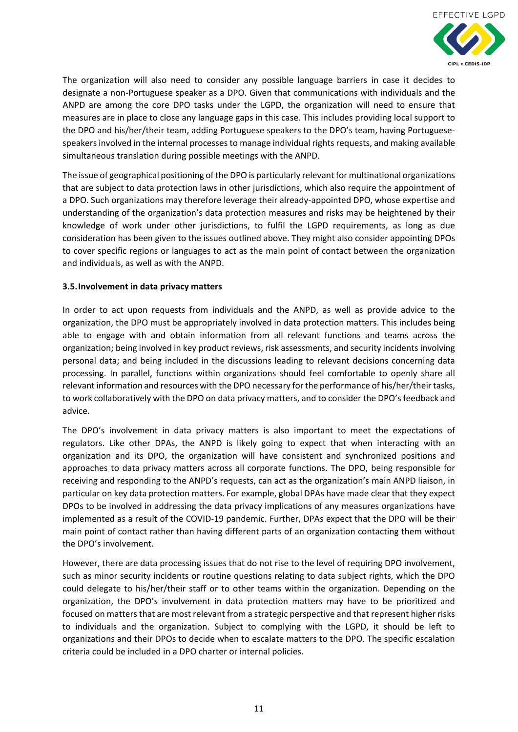

The organization will also need to consider any possible language barriers in case it decides to designate a non-Portuguese speaker as a DPO. Given that communications with individuals and the ANPD are among the core DPO tasks under the LGPD, the organization will need to ensure that measures are in place to close any language gaps in this case. This includes providing local support to the DPO and his/her/their team, adding Portuguese speakers to the DPO's team, having Portuguesespeakers involved in the internal processes to manage individual rights requests, and making available simultaneous translation during possible meetings with the ANPD.

The issue of geographical positioning of the DPO is particularly relevant for multinational organizations that are subject to data protection laws in other jurisdictions, which also require the appointment of a DPO. Such organizations may therefore leverage their already-appointed DPO, whose expertise and understanding of the organization's data protection measures and risks may be heightened by their knowledge of work under other jurisdictions, to fulfil the LGPD requirements, as long as due consideration has been given to the issues outlined above. They might also consider appointing DPOs to cover specific regions or languages to act as the main point of contact between the organization and individuals, as well as with the ANPD.

#### <span id="page-10-0"></span>**3.5.Involvement in data privacy matters**

In order to act upon requests from individuals and the ANPD, as well as provide advice to the organization, the DPO must be appropriately involved in data protection matters. This includes being able to engage with and obtain information from all relevant functions and teams across the organization; being involved in key product reviews, risk assessments, and security incidents involving personal data; and being included in the discussions leading to relevant decisions concerning data processing. In parallel, functions within organizations should feel comfortable to openly share all relevant information and resources with the DPO necessary for the performance of his/her/their tasks, to work collaboratively with the DPO on data privacy matters, and to consider the DPO's feedback and advice.

The DPO's involvement in data privacy matters is also important to meet the expectations of regulators. Like other DPAs, the ANPD is likely going to expect that when interacting with an organization and its DPO, the organization will have consistent and synchronized positions and approaches to data privacy matters across all corporate functions. The DPO, being responsible for receiving and responding to the ANPD's requests, can act as the organization's main ANPD liaison, in particular on key data protection matters. For example, global DPAs have made clear that they expect DPOs to be involved in addressing the data privacy implications of any measures organizations have implemented as a result of the COVID-19 pandemic. Further, DPAs expect that the DPO will be their main point of contact rather than having different parts of an organization contacting them without the DPO's involvement.

However, there are data processing issues that do not rise to the level of requiring DPO involvement, such as minor security incidents or routine questions relating to data subject rights, which the DPO could delegate to his/her/their staff or to other teams within the organization. Depending on the organization, the DPO's involvement in data protection matters may have to be prioritized and focused on matters that are most relevant from a strategic perspective and that represent higher risks to individuals and the organization. Subject to complying with the LGPD, it should be left to organizations and their DPOs to decide when to escalate matters to the DPO. The specific escalation criteria could be included in a DPO charter or internal policies.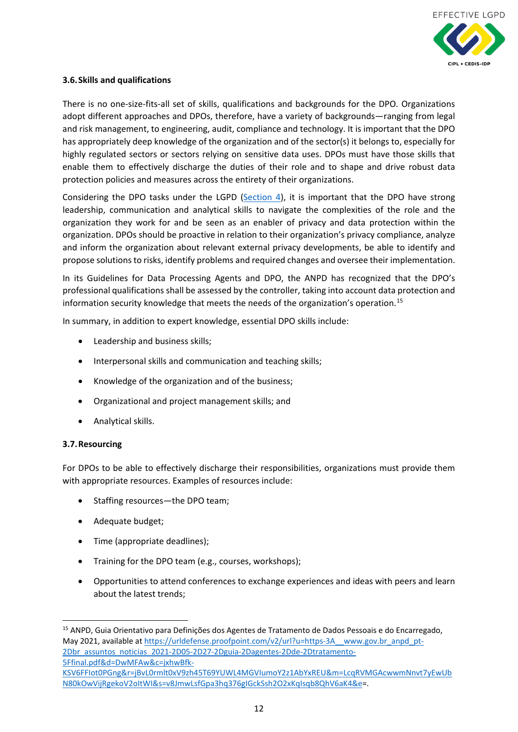

#### <span id="page-11-0"></span>**3.6.Skills and qualifications**

There is no one-size-fits-all set of skills, qualifications and backgrounds for the DPO. Organizations adopt different approaches and DPOs, therefore, have a variety of backgrounds—ranging from legal and risk management, to engineering, audit, compliance and technology. It is important that the DPO has appropriately deep knowledge of the organization and of the sector(s) it belongs to, especially for highly regulated sectors or sectors relying on sensitive data uses. DPOs must have those skills that enable them to effectively discharge the duties of their role and to shape and drive robust data protection policies and measures across the entirety of their organizations.

Considering the DPO tasks under the LGPD [\(Section 4\)](#page-13-0), it is important that the DPO have strong leadership, communication and analytical skills to navigate the complexities of the role and the organization they work for and be seen as an enabler of privacy and data protection within the organization. DPOs should be proactive in relation to their organization's privacy compliance, analyze and inform the organization about relevant external privacy developments, be able to identify and propose solutions to risks, identify problems and required changes and oversee their implementation.

In its Guidelines for Data Processing Agents and DPO, the ANPD has recognized that the DPO's professional qualifications shall be assessed by the controller, taking into account data protection and information security knowledge that meets the needs of the organization's operation.<sup>[15](#page-11-2)</sup>

In summary, in addition to expert knowledge, essential DPO skills include:

- Leadership and business skills;
- Interpersonal skills and communication and teaching skills;
- Knowledge of the organization and of the business;
- Organizational and project management skills; and
- Analytical skills.

#### <span id="page-11-1"></span>**3.7.Resourcing**

For DPOs to be able to effectively discharge their responsibilities, organizations must provide them with appropriate resources. Examples of resources include:

- Staffing resources—the DPO team;
- Adequate budget;
- Time (appropriate deadlines);
- Training for the DPO team (e.g., courses, workshops);
- Opportunities to attend conferences to exchange experiences and ideas with peers and learn about the latest trends;

<span id="page-11-2"></span> <sup>15</sup> ANPD, Guia Orientativo para Definições dos Agentes de Tratamento de Dados Pessoais e do Encarregado, May 2021, available at [https://urldefense.proofpoint.com/v2/url?u=https-3A\\_\\_www.gov.br\\_anpd\\_pt-](https://urldefense.proofpoint.com/v2/url?u=https-3A__www.gov.br_anpd_pt-2Dbr_assuntos_noticias_2021-2D05-2D27-2Dguia-2Dagentes-2Dde-2Dtratamento-5Ffinal.pdf&d=DwMFAw&c=jxhwBfk-KSV6FFIot0PGng&r=jBvL0rmlt0xV9zh45T69YUWL4MGVIumoY2z1AbYxREU&m=LcqRVMGAcwwmNnvt7yEwUbN80kOwVijRgekoV2oItWI&s=v8JmwLsfGpa3hq376gIGckSsh2O2xKqIsqb8QhV6aK4&e)[2Dbr\\_assuntos\\_noticias\\_2021-2D05-2D27-2Dguia-2Dagentes-2Dde-2Dtratamento-](https://urldefense.proofpoint.com/v2/url?u=https-3A__www.gov.br_anpd_pt-2Dbr_assuntos_noticias_2021-2D05-2D27-2Dguia-2Dagentes-2Dde-2Dtratamento-5Ffinal.pdf&d=DwMFAw&c=jxhwBfk-KSV6FFIot0PGng&r=jBvL0rmlt0xV9zh45T69YUWL4MGVIumoY2z1AbYxREU&m=LcqRVMGAcwwmNnvt7yEwUbN80kOwVijRgekoV2oItWI&s=v8JmwLsfGpa3hq376gIGckSsh2O2xKqIsqb8QhV6aK4&e)[5Ffinal.pdf&d=DwMFAw&c=jxhwBfk-](https://urldefense.proofpoint.com/v2/url?u=https-3A__www.gov.br_anpd_pt-2Dbr_assuntos_noticias_2021-2D05-2D27-2Dguia-2Dagentes-2Dde-2Dtratamento-5Ffinal.pdf&d=DwMFAw&c=jxhwBfk-KSV6FFIot0PGng&r=jBvL0rmlt0xV9zh45T69YUWL4MGVIumoY2z1AbYxREU&m=LcqRVMGAcwwmNnvt7yEwUbN80kOwVijRgekoV2oItWI&s=v8JmwLsfGpa3hq376gIGckSsh2O2xKqIsqb8QhV6aK4&e)[KSV6FFIot0PGng&r=jBvL0rmlt0xV9zh45T69YUWL4MGVIumoY2z1AbYxREU&m=LcqRVMGAcwwmNnvt7yEwUb](https://urldefense.proofpoint.com/v2/url?u=https-3A__www.gov.br_anpd_pt-2Dbr_assuntos_noticias_2021-2D05-2D27-2Dguia-2Dagentes-2Dde-2Dtratamento-5Ffinal.pdf&d=DwMFAw&c=jxhwBfk-KSV6FFIot0PGng&r=jBvL0rmlt0xV9zh45T69YUWL4MGVIumoY2z1AbYxREU&m=LcqRVMGAcwwmNnvt7yEwUbN80kOwVijRgekoV2oItWI&s=v8JmwLsfGpa3hq376gIGckSsh2O2xKqIsqb8QhV6aK4&e)

[N80kOwVijRgekoV2oItWI&s=v8JmwLsfGpa3hq376gIGckSsh2O2xKqIsqb8QhV6aK4&e=](https://urldefense.proofpoint.com/v2/url?u=https-3A__www.gov.br_anpd_pt-2Dbr_assuntos_noticias_2021-2D05-2D27-2Dguia-2Dagentes-2Dde-2Dtratamento-5Ffinal.pdf&d=DwMFAw&c=jxhwBfk-KSV6FFIot0PGng&r=jBvL0rmlt0xV9zh45T69YUWL4MGVIumoY2z1AbYxREU&m=LcqRVMGAcwwmNnvt7yEwUbN80kOwVijRgekoV2oItWI&s=v8JmwLsfGpa3hq376gIGckSsh2O2xKqIsqb8QhV6aK4&e).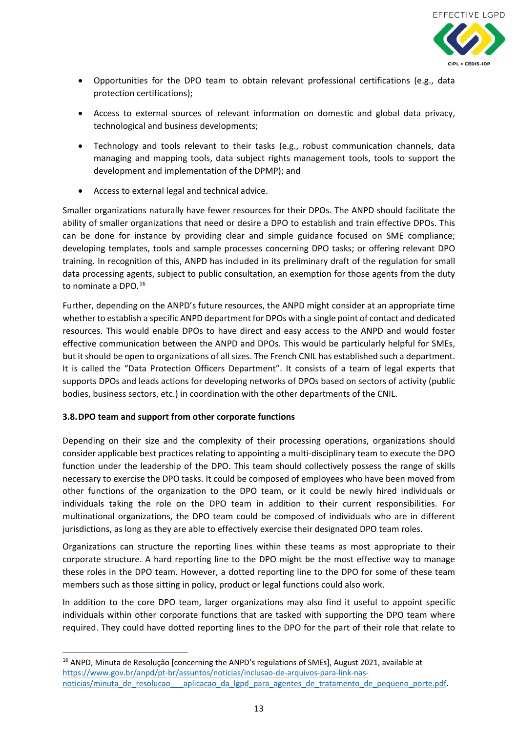

- Opportunities for the DPO team to obtain relevant professional certifications (e.g., data protection certifications);
- Access to external sources of relevant information on domestic and global data privacy, technological and business developments;
- Technology and tools relevant to their tasks (e.g., robust communication channels, data managing and mapping tools, data subject rights management tools, tools to support the development and implementation of the DPMP); and
- Access to external legal and technical advice.

Smaller organizations naturally have fewer resources for their DPOs. The ANPD should facilitate the ability of smaller organizations that need or desire a DPO to establish and train effective DPOs. This can be done for instance by providing clear and simple guidance focused on SME compliance; developing templates, tools and sample processes concerning DPO tasks; or offering relevant DPO training. In recognition of this, ANPD has included in its preliminary draft of the regulation for small data processing agents, subject to public consultation, an exemption for those agents from the duty to nominate a DPO.<sup>[16](#page-12-1)</sup>

Further, depending on the ANPD's future resources, the ANPD might consider at an appropriate time whether to establish a specific ANPD department for DPOs with a single point of contact and dedicated resources. This would enable DPOs to have direct and easy access to the ANPD and would foster effective communication between the ANPD and DPOs. This would be particularly helpful for SMEs, but it should be open to organizations of all sizes. The French CNIL has established such a department. It is called the "Data Protection Officers Department". It consists of a team of legal experts that supports DPOs and leads actions for developing networks of DPOs based on sectors of activity (public bodies, business sectors, etc.) in coordination with the other departments of the CNIL.

## <span id="page-12-0"></span>**3.8.DPO team and support from other corporate functions**

Depending on their size and the complexity of their processing operations, organizations should consider applicable best practices relating to appointing a multi-disciplinary team to execute the DPO function under the leadership of the DPO. This team should collectively possess the range of skills necessary to exercise the DPO tasks. It could be composed of employees who have been moved from other functions of the organization to the DPO team, or it could be newly hired individuals or individuals taking the role on the DPO team in addition to their current responsibilities. For multinational organizations, the DPO team could be composed of individuals who are in different jurisdictions, as long as they are able to effectively exercise their designated DPO team roles.

Organizations can structure the reporting lines within these teams as most appropriate to their corporate structure. A hard reporting line to the DPO might be the most effective way to manage these roles in the DPO team. However, a dotted reporting line to the DPO for some of these team members such as those sitting in policy, product or legal functions could also work.

In addition to the core DPO team, larger organizations may also find it useful to appoint specific individuals within other corporate functions that are tasked with supporting the DPO team where required. They could have dotted reporting lines to the DPO for the part of their role that relate to

<span id="page-12-1"></span><sup>&</sup>lt;sup>16</sup> ANPD, Minuta de Resolução [concerning the ANPD's regulations of SMEs], August 2021, available at [https://www.gov.br/anpd/pt-br/assuntos/noticias/inclusao-de-arquivos-para-link-nas](https://www.gov.br/anpd/pt-br/assuntos/noticias/inclusao-de-arquivos-para-link-nas-noticias/minuta_de_resolucao___aplicacao_da_lgpd_para_agentes_de_tratamento_de_pequeno_porte.pdf)noticias/minuta de resolucao aplicacao da lgpd para agentes de tratamento de pequeno porte.pdf.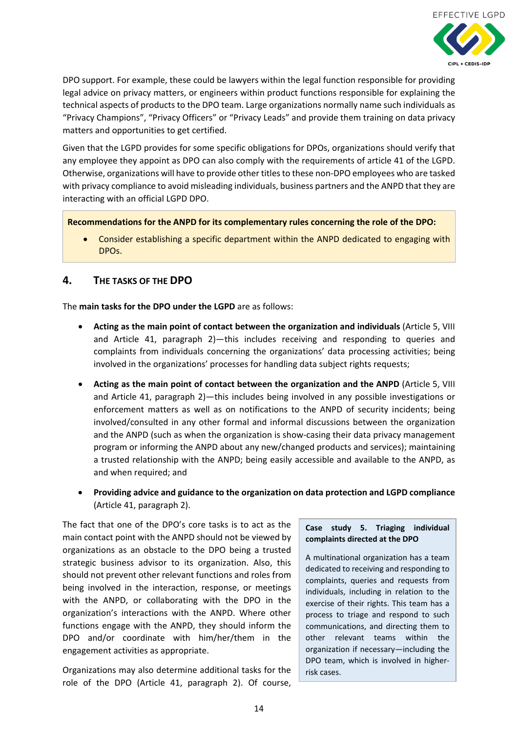

DPO support. For example, these could be lawyers within the legal function responsible for providing legal advice on privacy matters, or engineers within product functions responsible for explaining the technical aspects of products to the DPO team. Large organizations normally name such individuals as "Privacy Champions", "Privacy Officers" or "Privacy Leads" and provide them training on data privacy matters and opportunities to get certified.

Given that the LGPD provides for some specific obligations for DPOs, organizations should verify that any employee they appoint as DPO can also comply with the requirements of article 41 of the LGPD. Otherwise, organizations will have to provide other titles to these non-DPO employees who are tasked with privacy compliance to avoid misleading individuals, business partners and the ANPD that they are interacting with an official LGPD DPO.

**Recommendations for the ANPD for its complementary rules concerning the role of the DPO:** 

• Consider establishing a specific department within the ANPD dedicated to engaging with DPOs.

## <span id="page-13-0"></span>**4. THE TASKS OF THE DPO**

The **main tasks for the DPO under the LGPD** are as follows:

- **Acting as the main point of contact between the organization and individuals** (Article 5, VIII and Article 41, paragraph 2)—this includes receiving and responding to queries and complaints from individuals concerning the organizations' data processing activities; being involved in the organizations' processes for handling data subject rights requests;
- **Acting as the main point of contact between the organization and the ANPD** (Article 5, VIII and Article 41, paragraph 2)—this includes being involved in any possible investigations or enforcement matters as well as on notifications to the ANPD of security incidents; being involved/consulted in any other formal and informal discussions between the organization and the ANPD (such as when the organization is show-casing their data privacy management program or informing the ANPD about any new/changed products and services); maintaining a trusted relationship with the ANPD; being easily accessible and available to the ANPD, as and when required; and
- **Providing advice and guidance to the organization on data protection and LGPD compliance** (Article 41, paragraph 2).

The fact that one of the DPO's core tasks is to act as the main contact point with the ANPD should not be viewed by organizations as an obstacle to the DPO being a trusted strategic business advisor to its organization. Also, this should not prevent other relevant functions and roles from being involved in the interaction, response, or meetings with the ANPD, or collaborating with the DPO in the organization's interactions with the ANPD. Where other functions engage with the ANPD, they should inform the DPO and/or coordinate with him/her/them in the engagement activities as appropriate.

Organizations may also determine additional tasks for the role of the DPO (Article 41, paragraph 2). Of course,

#### **Case study 5. Triaging individual complaints directed at the DPO**

A multinational organization has a team dedicated to receiving and responding to complaints, queries and requests from individuals, including in relation to the exercise of their rights. This team has a process to triage and respond to such communications, and directing them to other relevant teams within the organization if necessary—including the DPO team, which is involved in higherrisk cases.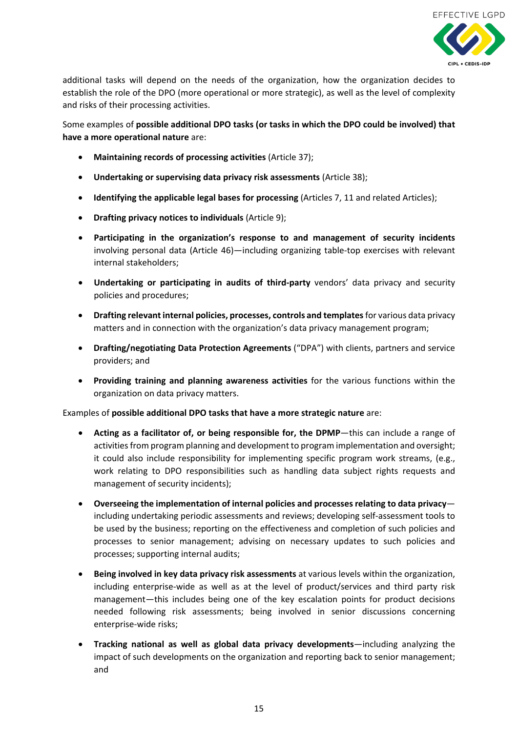

additional tasks will depend on the needs of the organization, how the organization decides to establish the role of the DPO (more operational or more strategic), as well as the level of complexity and risks of their processing activities.

Some examples of **possible additional DPO tasks (or tasks in which the DPO could be involved) that have a more operational nature** are:

- **Maintaining records of processing activities** (Article 37);
- **Undertaking or supervising data privacy risk assessments** (Article 38);
- **Identifying the applicable legal bases for processing** (Articles 7, 11 and related Articles);
- **Drafting privacy notices to individuals** (Article 9);
- **Participating in the organization's response to and management of security incidents** involving personal data (Article 46)—including organizing table-top exercises with relevant internal stakeholders;
- **Undertaking or participating in audits of third-party** vendors' data privacy and security policies and procedures;
- **Drafting relevant internal policies, processes, controls and templates**for various data privacy matters and in connection with the organization's data privacy management program;
- **Drafting/negotiating Data Protection Agreements** ("DPA") with clients, partners and service providers; and
- **Providing training and planning awareness activities** for the various functions within the organization on data privacy matters.

Examples of **possible additional DPO tasks that have a more strategic nature** are:

- **Acting as a facilitator of, or being responsible for, the DPMP**—this can include a range of activities from program planning and development to program implementation and oversight; it could also include responsibility for implementing specific program work streams, (e.g., work relating to DPO responsibilities such as handling data subject rights requests and management of security incidents);
- **Overseeing the implementation of internal policies and processes relating to data privacy** including undertaking periodic assessments and reviews; developing self-assessment tools to be used by the business; reporting on the effectiveness and completion of such policies and processes to senior management; advising on necessary updates to such policies and processes; supporting internal audits;
- **Being involved in key data privacy risk assessments** at various levels within the organization, including enterprise-wide as well as at the level of product/services and third party risk management—this includes being one of the key escalation points for product decisions needed following risk assessments; being involved in senior discussions concerning enterprise-wide risks;
- **Tracking national as well as global data privacy developments**—including analyzing the impact of such developments on the organization and reporting back to senior management; and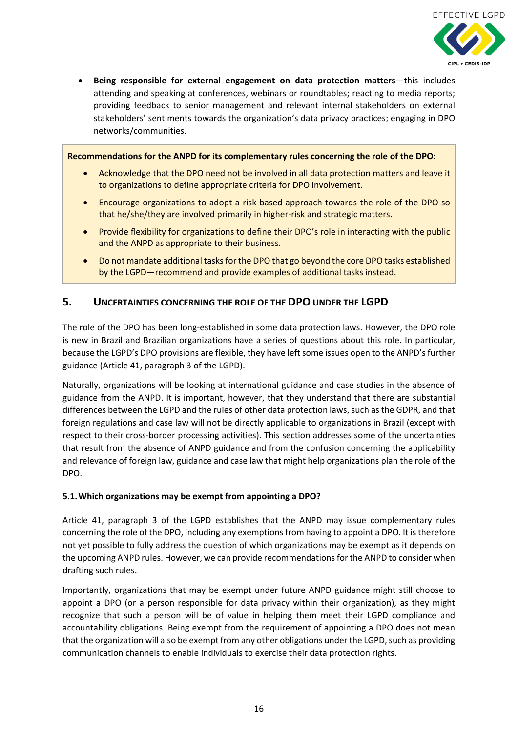

• **Being responsible for external engagement on data protection matters**—this includes attending and speaking at conferences, webinars or roundtables; reacting to media reports; providing feedback to senior management and relevant internal stakeholders on external stakeholders' sentiments towards the organization's data privacy practices; engaging in DPO networks/communities.

#### **Recommendations for the ANPD for its complementary rules concerning the role of the DPO:**

- Acknowledge that the DPO need not be involved in all data protection matters and leave it to organizations to define appropriate criteria for DPO involvement.
- Encourage organizations to adopt a risk-based approach towards the role of the DPO so that he/she/they are involved primarily in higher-risk and strategic matters.
- Provide flexibility for organizations to define their DPO's role in interacting with the public and the ANPD as appropriate to their business.
- Do not mandate additional tasks for the DPO that go beyond the core DPO tasks established by the LGPD—recommend and provide examples of additional tasks instead.

## <span id="page-15-0"></span>**5. UNCERTAINTIES CONCERNING THE ROLE OF THE DPO UNDER THE LGPD**

The role of the DPO has been long-established in some data protection laws. However, the DPO role is new in Brazil and Brazilian organizations have a series of questions about this role. In particular, because the LGPD's DPO provisions are flexible, they have left some issues open to the ANPD's further guidance (Article 41, paragraph 3 of the LGPD).

Naturally, organizations will be looking at international guidance and case studies in the absence of guidance from the ANPD. It is important, however, that they understand that there are substantial differences between the LGPD and the rules of other data protection laws, such as the GDPR, and that foreign regulations and case law will not be directly applicable to organizations in Brazil (except with respect to their cross-border processing activities). This section addresses some of the uncertainties that result from the absence of ANPD guidance and from the confusion concerning the applicability and relevance of foreign law, guidance and case law that might help organizations plan the role of the DPO.

#### <span id="page-15-1"></span>**5.1.Which organizations may be exempt from appointing a DPO?**

Article 41, paragraph 3 of the LGPD establishes that the ANPD may issue complementary rules concerning the role of the DPO, including any exemptions from having to appoint a DPO. It is therefore not yet possible to fully address the question of which organizations may be exempt as it depends on the upcoming ANPD rules. However, we can provide recommendations for the ANPD to consider when drafting such rules.

Importantly, organizations that may be exempt under future ANPD guidance might still choose to appoint a DPO (or a person responsible for data privacy within their organization), as they might recognize that such a person will be of value in helping them meet their LGPD compliance and accountability obligations. Being exempt from the requirement of appointing a DPO does not mean that the organization will also be exempt from any other obligations under the LGPD, such as providing communication channels to enable individuals to exercise their data protection rights.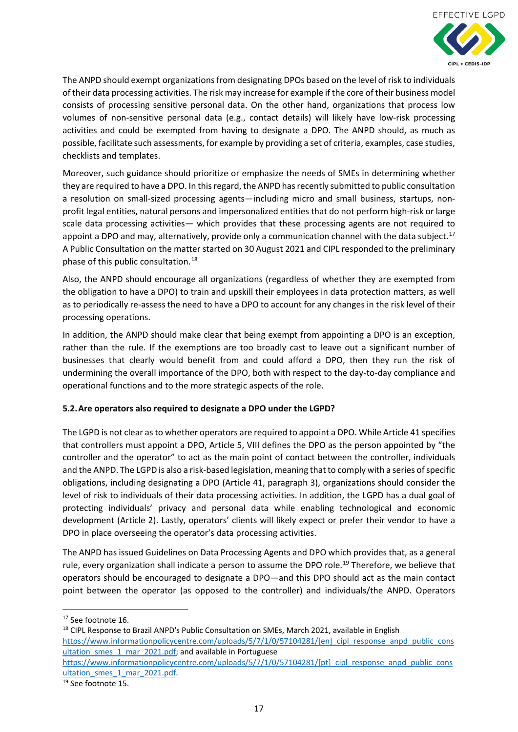

The ANPD should exempt organizations from designating DPOs based on the level of risk to individuals of their data processing activities. The risk may increase for example if the core of their business model consists of processing sensitive personal data. On the other hand, organizations that process low volumes of non-sensitive personal data (e.g., contact details) will likely have low-risk processing activities and could be exempted from having to designate a DPO. The ANPD should, as much as possible, facilitate such assessments, for example by providing a set of criteria, examples, case studies, checklists and templates.

Moreover, such guidance should prioritize or emphasize the needs of SMEs in determining whether they are required to have a DPO. In this regard, the ANPD has recently submitted to public consultation a resolution on small-sized processing agents—including micro and small business, startups, nonprofit legal entities, natural persons and impersonalized entities that do not perform high-risk or large scale data processing activities— which provides that these processing agents are not required to appoint a DPO and may, alternatively, provide only a communication channel with the data subject.<sup>[17](#page-16-1)</sup> A Public Consultation on the matter started on 30 August 2021 and CIPL responded to the preliminary phase of this public consultation. [18](#page-16-2)

Also, the ANPD should encourage all organizations (regardless of whether they are exempted from the obligation to have a DPO) to train and upskill their employees in data protection matters, as well as to periodically re-assess the need to have a DPO to account for any changes in the risk level of their processing operations.

In addition, the ANPD should make clear that being exempt from appointing a DPO is an exception, rather than the rule. If the exemptions are too broadly cast to leave out a significant number of businesses that clearly would benefit from and could afford a DPO, then they run the risk of undermining the overall importance of the DPO, both with respect to the day-to-day compliance and operational functions and to the more strategic aspects of the role.

## <span id="page-16-0"></span>**5.2.Are operators also required to designate a DPO under the LGPD?**

The LGPD is not clear as to whether operators are required to appoint a DPO. While Article 41 specifies that controllers must appoint a DPO, Article 5, VIII defines the DPO as the person appointed by "the controller and the operator" to act as the main point of contact between the controller, individuals and the ANPD. The LGPD is also a risk-based legislation, meaning that to comply with a series of specific obligations, including designating a DPO (Article 41, paragraph 3), organizations should consider the level of risk to individuals of their data processing activities. In addition, the LGPD has a dual goal of protecting individuals' privacy and personal data while enabling technological and economic development (Article 2). Lastly, operators' clients will likely expect or prefer their vendor to have a DPO in place overseeing the operator's data processing activities.

The ANPD has issued Guidelines on Data Processing Agents and DPO which provides that, as a general rule, every organization shall indicate a person to assume the DPO role.<sup>[19](#page-16-3)</sup> Therefore, we believe that operators should be encouraged to designate a DPO—and this DPO should act as the main contact point between the operator (as opposed to the controller) and individuals/the ANPD. Operators

- <span id="page-16-2"></span><sup>18</sup> CIPL Response to Brazil ANPD's Public Consultation on SMEs, March 2021, available in English https://www.informationpolicycentre.com/uploads/5/7/1/0/57104281/[en] cipl response anpd public cons ultation smes 1 mar 2021.pdf; and available in Portuguese
- [https://www.informationpolicycentre.com/uploads/5/7/1/0/57104281/\[pt\]\\_cipl\\_response\\_anpd\\_public\\_cons](https://www.informationpolicycentre.com/uploads/5/7/1/0/57104281/%5bpt%5d_cipl_response_anpd_public_consultation_smes_1_mar_2021.pdf) [ultation\\_smes\\_1\\_mar\\_2021.pdf.](https://www.informationpolicycentre.com/uploads/5/7/1/0/57104281/%5bpt%5d_cipl_response_anpd_public_consultation_smes_1_mar_2021.pdf)

<span id="page-16-1"></span><sup>&</sup>lt;sup>17</sup> See footnote 16.

<span id="page-16-3"></span><sup>&</sup>lt;sup>19</sup> See footnote 15.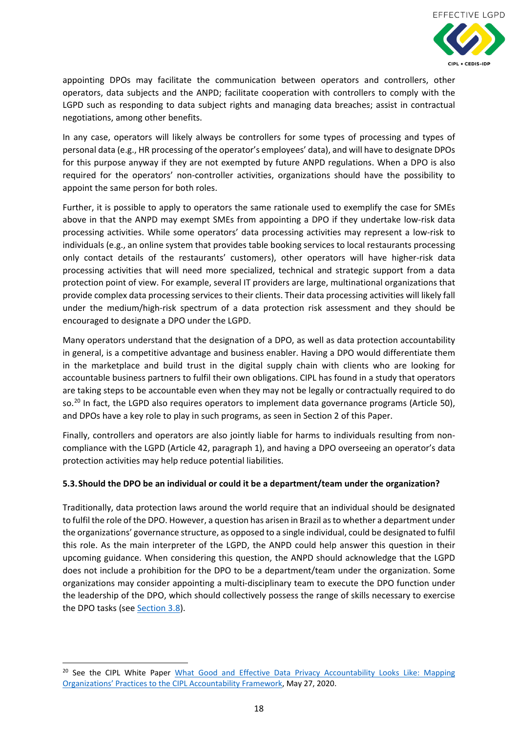

appointing DPOs may facilitate the communication between operators and controllers, other operators, data subjects and the ANPD; facilitate cooperation with controllers to comply with the LGPD such as responding to data subject rights and managing data breaches; assist in contractual negotiations, among other benefits.

In any case, operators will likely always be controllers for some types of processing and types of personal data (e.g., HR processing of the operator's employees' data), and will have to designate DPOs for this purpose anyway if they are not exempted by future ANPD regulations. When a DPO is also required for the operators' non-controller activities, organizations should have the possibility to appoint the same person for both roles.

Further, it is possible to apply to operators the same rationale used to exemplify the case for SMEs above in that the ANPD may exempt SMEs from appointing a DPO if they undertake low-risk data processing activities. While some operators' data processing activities may represent a low-risk to individuals (e.g., an online system that provides table booking services to local restaurants processing only contact details of the restaurants' customers), other operators will have higher-risk data processing activities that will need more specialized, technical and strategic support from a data protection point of view. For example, several IT providers are large, multinational organizations that provide complex data processing services to their clients. Their data processing activities will likely fall under the medium/high-risk spectrum of a data protection risk assessment and they should be encouraged to designate a DPO under the LGPD.

Many operators understand that the designation of a DPO, as well as data protection accountability in general, is a competitive advantage and business enabler. Having a DPO would differentiate them in the marketplace and build trust in the digital supply chain with clients who are looking for accountable business partners to fulfil their own obligations. CIPL has found in a study that operators are taking steps to be accountable even when they may not be legally or contractually required to do so.<sup>[20](#page-17-1)</sup> In fact, the LGPD also requires operators to implement data governance programs (Article 50), and DPOs have a key role to play in such programs, as seen in Section 2 of this Paper.

Finally, controllers and operators are also jointly liable for harms to individuals resulting from noncompliance with the LGPD (Article 42, paragraph 1), and having a DPO overseeing an operator's data protection activities may help reduce potential liabilities.

## <span id="page-17-0"></span>**5.3.Should the DPO be an individual or could it be a department/team under the organization?**

Traditionally, data protection laws around the world require that an individual should be designated to fulfil the role of the DPO. However, a question has arisen in Brazil as to whether a department under the organizations' governance structure, as opposed to a single individual, could be designated to fulfil this role. As the main interpreter of the LGPD, the ANPD could help answer this question in their upcoming guidance. When considering this question, the ANPD should acknowledge that the LGPD does not include a prohibition for the DPO to be a department/team under the organization. Some organizations may consider appointing a multi-disciplinary team to execute the DPO function under the leadership of the DPO, which should collectively possess the range of skills necessary to exercise the DPO tasks (see [Section 3.8\)](#page-12-0).

<span id="page-17-1"></span><sup>&</sup>lt;sup>20</sup> See the CIPL White Paper What Good and Effective Data Privacy Accountability Looks Like: Mapping [Organizations' Practices to the CIPL Accountability Framework,](https://www.informationpolicycentre.com/organizational-accountability.html) May 27, 2020.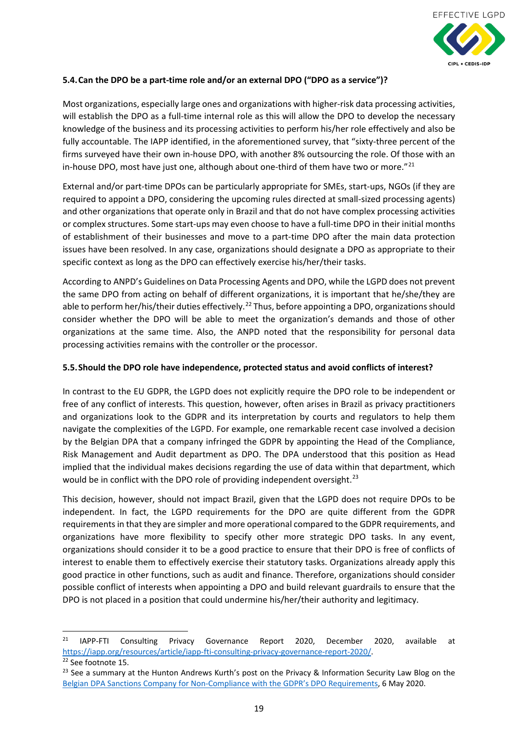

## <span id="page-18-0"></span>**5.4.Can the DPO be a part-time role and/or an external DPO ("DPO as a service")?**

Most organizations, especially large ones and organizations with higher-risk data processing activities, will establish the DPO as a full-time internal role as this will allow the DPO to develop the necessary knowledge of the business and its processing activities to perform his/her role effectively and also be fully accountable. The IAPP identified, in the aforementioned survey, that "sixty-three percent of the firms surveyed have their own in-house DPO, with another 8% outsourcing the role. Of those with an in-house DPO, most have just one, although about one-third of them have two or more." $^{21}$  $^{21}$  $^{21}$ 

External and/or part-time DPOs can be particularly appropriate for SMEs, start-ups, NGOs (if they are required to appoint a DPO, considering the upcoming rules directed at small-sized processing agents) and other organizations that operate only in Brazil and that do not have complex processing activities or complex structures. Some start-ups may even choose to have a full-time DPO in their initial months of establishment of their businesses and move to a part-time DPO after the main data protection issues have been resolved. In any case, organizations should designate a DPO as appropriate to their specific context as long as the DPO can effectively exercise his/her/their tasks.

According to ANPD's Guidelines on Data Processing Agents and DPO, while the LGPD does not prevent the same DPO from acting on behalf of different organizations, it is important that he/she/they are able to perform her/his/their duties effectively.<sup>[22](#page-18-3)</sup> Thus, before appointing a DPO, organizations should consider whether the DPO will be able to meet the organization's demands and those of other organizations at the same time. Also, the ANPD noted that the responsibility for personal data processing activities remains with the controller or the processor.

#### <span id="page-18-1"></span>**5.5.Should the DPO role have independence, protected status and avoid conflicts of interest?**

In contrast to the EU GDPR, the LGPD does not explicitly require the DPO role to be independent or free of any conflict of interests. This question, however, often arises in Brazil as privacy practitioners and organizations look to the GDPR and its interpretation by courts and regulators to help them navigate the complexities of the LGPD. For example, one remarkable recent case involved a decision by the Belgian DPA that a company infringed the GDPR by appointing the Head of the Compliance, Risk Management and Audit department as DPO. The DPA understood that this position as Head implied that the individual makes decisions regarding the use of data within that department, which would be in conflict with the DPO role of providing independent oversight.<sup>[23](#page-18-4)</sup>

This decision, however, should not impact Brazil, given that the LGPD does not require DPOs to be independent. In fact, the LGPD requirements for the DPO are quite different from the GDPR requirementsin that they are simpler and more operational compared to the GDPR requirements, and organizations have more flexibility to specify other more strategic DPO tasks. In any event, organizations should consider it to be a good practice to ensure that their DPO is free of conflicts of interest to enable them to effectively exercise their statutory tasks. Organizations already apply this good practice in other functions, such as audit and finance. Therefore, organizations should consider possible conflict of interests when appointing a DPO and build relevant guardrails to ensure that the DPO is not placed in a position that could undermine his/her/their authority and legitimacy.

<span id="page-18-2"></span> <sup>21</sup> IAPP-FTI Consulting Privacy Governance Report 2020, December 2020, available at [https://iapp.org/resources/article/iapp-fti-consulting-privacy-governance-report-2020/.](https://iapp.org/resources/article/iapp-fti-consulting-privacy-governance-report-2020/)

<span id="page-18-3"></span><sup>22</sup> See footnote 15.

<span id="page-18-4"></span><sup>&</sup>lt;sup>23</sup> See a summary at the Hunton Andrews Kurth's post on the Privacy & Information Security Law Blog on the [Belgian DPA Sanctions Company for Non-Compliance with the GDPR's DPO Requirements,](https://www.huntonprivacyblog.com/2020/05/06/belgian-dpa-sanctions-company-for-non-compliance-with-the-gdprs-dpo-requirements/) 6 May 2020.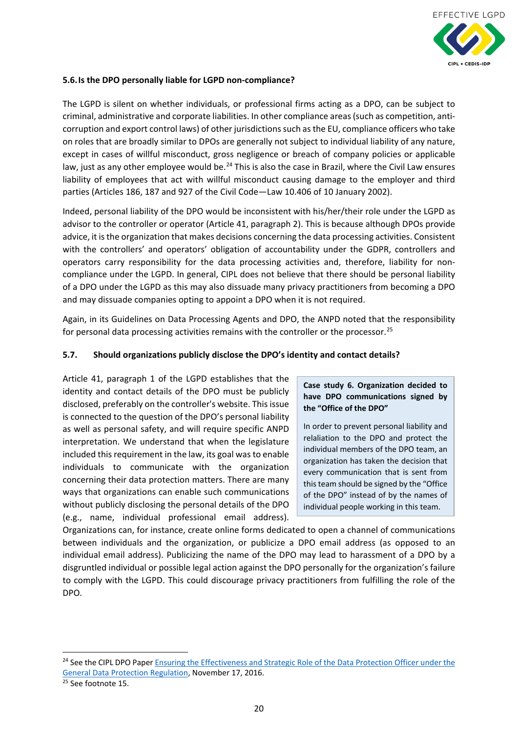

#### <span id="page-19-0"></span>**5.6.Is the DPO personally liable for LGPD non-compliance?**

The LGPD is silent on whether individuals, or professional firms acting as a DPO, can be subject to criminal, administrative and corporate liabilities. In other compliance areas(such as competition, anticorruption and export control laws) of other jurisdictions such as the EU, compliance officers who take on roles that are broadly similar to DPOs are generally not subject to individual liability of any nature, except in cases of willful misconduct, gross negligence or breach of company policies or applicable law, just as any other employee would be.<sup>[24](#page-19-2)</sup> This is also the case in Brazil, where the Civil Law ensures liability of employees that act with willful misconduct causing damage to the employer and third parties (Articles 186, 187 and 927 of the Civil Code—Law 10.406 of 10 January 2002).

Indeed, personal liability of the DPO would be inconsistent with his/her/their role under the LGPD as advisor to the controller or operator (Article 41, paragraph 2). This is because although DPOs provide advice, it is the organization that makes decisions concerning the data processing activities. Consistent with the controllers' and operators' obligation of accountability under the GDPR, controllers and operators carry responsibility for the data processing activities and, therefore, liability for noncompliance under the LGPD. In general, CIPL does not believe that there should be personal liability of a DPO under the LGPD as this may also dissuade many privacy practitioners from becoming a DPO and may dissuade companies opting to appoint a DPO when it is not required.

Again, in its Guidelines on Data Processing Agents and DPO, the ANPD noted that the responsibility for personal data processing activities remains with the controller or the processor.<sup>[25](#page-19-3)</sup>

## <span id="page-19-1"></span>**5.7. Should organizations publicly disclose the DPO's identity and contact details?**

Article 41, paragraph 1 of the LGPD establishes that the identity and contact details of the DPO must be publicly disclosed, preferably on the controller's website. This issue is connected to the question of the DPO's personal liability as well as personal safety, and will require specific ANPD interpretation. We understand that when the legislature included this requirement in the law, its goal was to enable individuals to communicate with the organization concerning their data protection matters. There are many ways that organizations can enable such communications without publicly disclosing the personal details of the DPO (e.g., name, individual professional email address).

#### **Case study 6. Organization decided to have DPO communications signed by the "Office of the DPO"**

In order to prevent personal liability and relaliation to the DPO and protect the individual members of the DPO team, an organization has taken the decision that every communication that is sent from this team should be signed by the "Office of the DPO" instead of by the names of individual people working in this team.

Organizations can, for instance, create online forms dedicated to open a channel of communications between individuals and the organization, or publicize a DPO email address (as opposed to an individual email address). Publicizing the name of the DPO may lead to harassment of a DPO by a disgruntled individual or possible legal action against the DPO personally for the organization's failure to comply with the LGPD. This could discourage privacy practitioners from fulfilling the role of the DPO.

<span id="page-19-2"></span><sup>&</sup>lt;sup>24</sup> See the CIPL DPO Paper Ensuring the Effectiveness and Strategic Role of the Data Protection Officer under the [General Data Protection Regulation,](https://www.informationpolicycentre.com/uploads/5/7/1/0/57104281/final_cipl_gdpr_dpo_paper_17_november_2016.pdf) November 17, 2016.

<span id="page-19-3"></span><sup>&</sup>lt;sup>25</sup> See footnote 15.